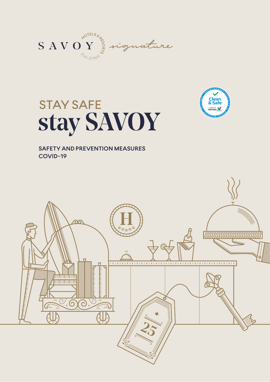



# **STAY SAFE** stay SAVOY

**SAFETY AND PREVENTION MEASURES COVID-19**

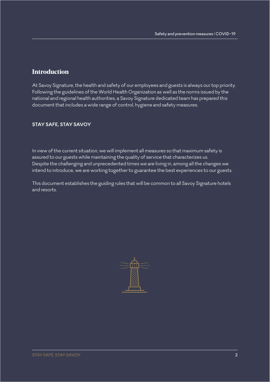## **Introduction**

At Savoy Signature, the health and safety of our employees and guests is always our top priority. Following the guidelines of the World Health Organization as well as the norms issued by the national and regional health authorities, a Savoy Signature dedicated team has prepared this document that includes a wide range of control, hygiene and safety measures.

## **STAY SAFE, STAY SAVOY**

In view of the current situation, we will implement all measures so that maximum safety is assured to our guests while maintaining the quality of service that characterizes us. Despite the challenging and unprecedented times we are living in, among all the changes we intend to introduce, we are working together to guarantee the best experiences to our guests.

This document establishes the guiding rules that will be common to all Savoy Signature hotels and resorts.

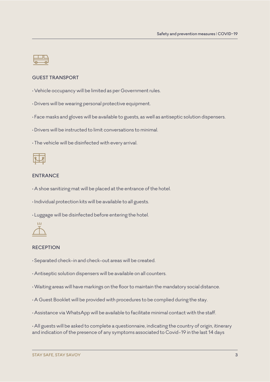#### GUEST TRANSPORT

- Vehicle occupancy will be limited as per Government rules.
- Drivers will be wearing personal protective equipment.
- Face masks and gloves will be available to guests, as well as antiseptic solution dispensers.
- Drivers will be instructed to limit conversations to minimal.
- The vehicle will be disinfected with every arrival.



#### ENTRANCE

- A shoe sanitizing mat will be placed at the entrance of the hotel.
- Individual protection kits will be available to all guests.
- Luggage will be disinfected before entering the hotel.



#### **RECEPTION**

- Separated check-in and check-out areas will be created.
- Antiseptic solution dispensers will be available on all counters.
- Waiting areas will have markings on the floor to maintain the mandatory social distance.
- A Guest Booklet will be provided with procedures to be complied during the stay.
- Assistance via WhatsApp will be available to facilitate minimal contact with the staff.
- All guests will be asked to complete a questionnaire, indicating the country of origin, itinerary and indication of the presence of any symptoms associated to Covid-19 in the last 14 days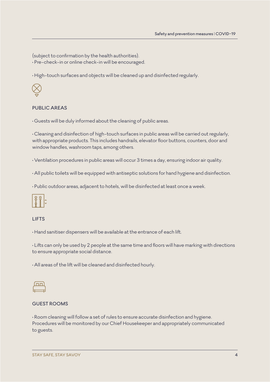(subject to confirmation by the health authorities).

• Pre-check-in or online check-in will be encouraged.

• High-touch surfaces and objects will be cleaned up and disinfected regularly.



## PUBLIC AREAS

• Guests will be duly informed about the cleaning of public areas.

• Cleaning and disinfection of high-touch surfaces in public areas will be carried out regularly, with appropriate products. This includes handrails, elevator floor buttons, counters, door and window handles, washroom taps, among others.

• Ventilation procedures in public areas will occur 3 times a day, ensuring indoor air quality.

• All public toilets will be equipped with antiseptic solutions for hand hygiene and disinfection.

• Public outdoor areas, adjacent to hotels, will be disinfected at least once a week.



## LIFTS

• Hand sanitiser dispensers will be available at the entrance of each lift.

• Lifts can only be used by 2 people at the same time and floors will have marking with directions to ensure appropriate social distance.

• All areas of the lift will be cleaned and disinfected hourly.

## GUEST ROOMS

• Room cleaning will follow a set of rules to ensure accurate disinfection and hygiene. Procedures will be monitored by our Chief Housekeeper and appropriately communicated to guests.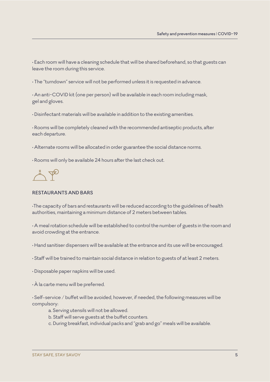• Each room will have a cleaning schedule that will be shared beforehand, so that guests can leave the room during this service.

• The "turndown" service will not be performed unless it is requested in advance.

• An anti-COVID kit (one per person) will be available in each room including mask, gel and gloves.

• Disinfectant materials will be available in addition to the existing amenities.

• Rooms will be completely cleaned with the recommended antiseptic products, after each departure.

• Alternate rooms will be allocated in order guarantee the social distance norms.

• Rooms will only be available 24 hours after the last check out.

 $\frac{1}{\sqrt{2}}$ 

#### RESTAURANTS AND BARS

•The capacity of bars and restaurants will be reduced according to the guidelines of health authorities, maintaining a minimum distance of 2 meters between tables.

• A meal rotation schedule will be established to control the number of guests in the room and avoid crowding at the entrance.

- Hand sanitiser dispensers will be available at the entrance and its use will be encouraged.
- Staff will be trained to maintain social distance in relation to guests of at least 2 meters.
- Disposable paper napkins will be used.
- À la carte menu will be preferred.

• Self-service / buffet will be avoided, however, if needed, the following measures will be compulsory:

- a. Serving utensils will not be allowed.
- b. Staff will serve guests at the buffet counters.
- c. During breakfast, individual packs and "grab and go" meals will be available.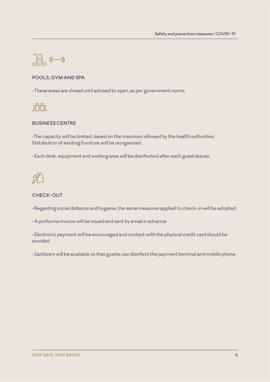

#### POOLS, GYM AND SPA

• These areas are closed until advised to open, as per government norms.



#### BUSINESS CENTRE

•The capacity will be limited, based on the maximum allowed by the health authorities. Distribution of existing furniture will be reorganized.

• Each desk, equipment and working area will be disinfected after each guest leaves.

## CHECK-OUT

• Regarding social distance and hygiene, the same measures applied to check-in will be adopted.

• A proforma invoice will be issued and sent by email in advance.

• Electronic payment will be encouraged and contact with the physical credit card should be avoided.

• Sanitizers will be available so that guests can disinfect the payment terminal and mobile phone.